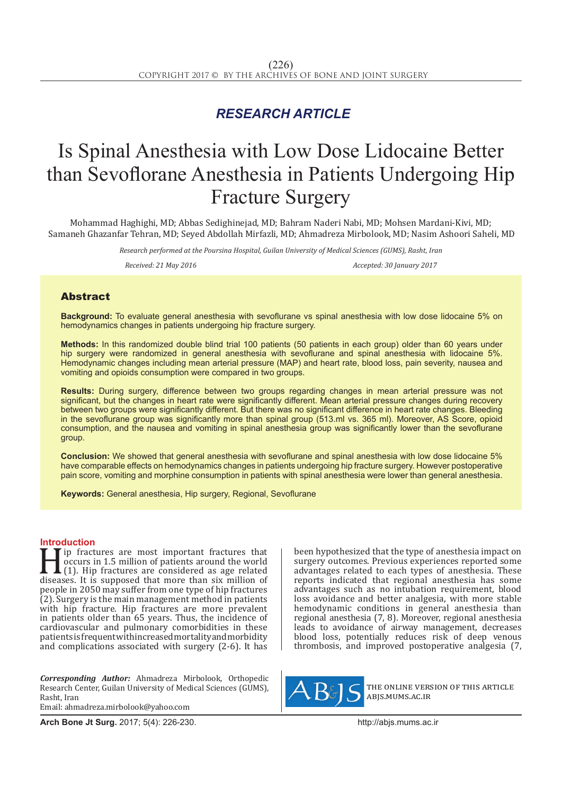## *RESEARCH ARTICLE*

# Is Spinal Anesthesia with Low Dose Lidocaine Better than Sevoflorane Anesthesia in Patients Undergoing Hip Fracture Surgery

Mohammad Haghighi, MD; Abbas Sedighinejad, MD; Bahram Naderi Nabi, MD; Mohsen Mardani-Kivi, MD; Samaneh Ghazanfar Tehran, MD; Seyed Abdollah Mirfazli, MD; Ahmadreza Mirbolook, MD; Nasim Ashoori Saheli, MD

> *Research performed at the Poursina Hospital, Guilan University of Medical Sciences (GUMS), Rasht, Iran Received: 21 May 2016 Accepted: 30 January 2017*

### **Abstract**

**Background:** To evaluate general anesthesia with sevoflurane vs spinal anesthesia with low dose lidocaine 5% on hemodynamics changes in patients undergoing hip fracture surgery.

**Methods:** In this randomized double blind trial 100 patients (50 patients in each group) older than 60 years under hip surgery were randomized in general anesthesia with sevoflurane and spinal anesthesia with lidocaine 5%. Hemodynamic changes including mean arterial pressure (MAP) and heart rate, blood loss, pain severity, nausea and vomiting and opioids consumption were compared in two groups.

**Results:** During surgery, difference between two groups regarding changes in mean arterial pressure was not significant, but the changes in heart rate were significantly different. Mean arterial pressure changes during recovery between two groups were significantly different. But there was no significant difference in heart rate changes. Bleeding in the sevoflurane group was significantly more than spinal group (513.ml vs. 365 ml). Moreover, AS Score, opioid consumption, and the nausea and vomiting in spinal anesthesia group was significantly lower than the sevoflurane group.

**Conclusion:** We showed that general anesthesia with sevoflurane and spinal anesthesia with low dose lidocaine 5% have comparable effects on hemodynamics changes in patients undergoing hip fracture surgery. However postoperative pain score, vomiting and morphine consumption in patients with spinal anesthesia were lower than general anesthesia.

**Keywords:** General anesthesia, Hip surgery, Regional, Sevoflurane

**Introduction**<br>**T I** ip fractures are most important fractures that For the fractures are most important fractures that<br>  $\begin{bmatrix}\n1 & 1 \\
0 & 1\n\end{bmatrix}$ . Hip fractures are considered as age related<br>
diseases. It is supposed that more than six million of<br>
paople in 2050 may suffer from one time occurs in 1.5 million of patients around the world (1). Hip fractures are considered as age related diseases. It is supposed that more than six million of people in 2050 may suffer from one type of hip fractures (2). Surgery is the main management method in patients with hip fracture. Hip fractures are more prevalent in patients older than 65 years. Thus, the incidence of cardiovascular and pulmonary comorbidities in these patients is frequent with increased mortality and morbidity and complications associated with surgery (2-6). It has

*Corresponding Author:* Ahmadreza Mirbolook, Orthopedic Research Center, Guilan University of Medical Sciences (GUMS), Rasht, Iran Email: ahmadreza.mirbolook@yahoo.com

been hypothesized that the type of anesthesia impact on surgery outcomes. Previous experiences reported some advantages related to each types of anesthesia. These reports indicated that regional anesthesia has some advantages such as no intubation requirement, blood loss avoidance and better analgesia, with more stable hemodynamic conditions in general anesthesia than regional anesthesia (7, 8). Moreover, regional anesthesia leads to avoidance of airway management, decreases blood loss, potentially reduces risk of deep venous thrombosis, and improved postoperative analgesia (7,



the online version of this article abjs.mums.ac.ir

**Arch Bone Jt Surg.** 2017; 5(4): 226-230.http://abjs.mums.ac.ir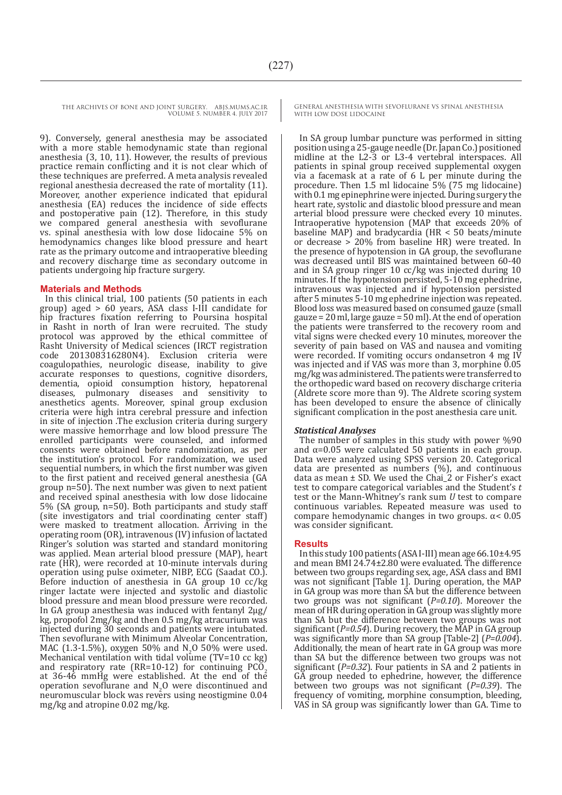9). Conversely, general anesthesia may be associated with a more stable hemodynamic state than regional anesthesia (3, 10, 11). However, the results of previous practice remain conflicting and it is not clear which of these techniques are preferred. A meta analysis revealed regional anesthesia decreased the rate of mortality (11). Moreover, another experience indicated that epidural anesthesia (EA) reduces the incidence of side effects and postoperative pain (12). Therefore, in this study we compared general anesthesia with sevoflurane vs. spinal anesthesia with low dose lidocaine 5% on hemodynamics changes like blood pressure and heart rate as the primary outcome and intraoperative bleeding and recovery discharge time as secondary outcome in patients undergoing hip fracture surgery.

#### **Materials and Methods**

In this clinical trial, 100 patients (50 patients in each group) aged > 60 years, ASA class I-III candidate for hip fractures fixation referring to Poursina hospital in Rasht in north of Iran were recruited. The study protocol was approved by the ethical committee of Rasht University of Medical sciences (IRCT registration code 201308316280N4). Exclusion criteria were coagulopathies, neurologic disease, inability to give accurate responses to questions, cognitive disorders, dementia, opioid consumption history, hepatorenal diseases, pulmonary diseases and sensitivity to anesthetics agents. Moreover, spinal group exclusion criteria were high intra cerebral pressure and infection in site of injection .The exclusion criteria during surgery were massive hemorrhage and low blood pressure The enrolled participants were counseled, and informed consents were obtained before randomization, as per the institution's protocol. For randomization, we used sequential numbers, in which the first number was given to the first patient and received general anesthesia (GA group n=50). The next number was given to next patient and received spinal anesthesia with low dose lidocaine 5% (SA group, n=50). Both participants and study staff (site investigators and trial coordinating center staff) were masked to treatment allocation. Arriving in the operating room (OR), intravenous (IV) infusion of lactated Ringer's solution was started and standard monitoring was applied. Mean arterial blood pressure (MAP), heart rate (HR), were recorded at 10-minute intervals during operation using pulse oximeter, NIBP, ECG (Saadat CO.). Before induction of anesthesia in GA group 10 cc/kg ringer lactate were injected and systolic and diastolic blood pressure and mean blood pressure were recorded. In GA group anesthesia was induced with fentanyl 2µg/ kg, propofol 2mg/kg and then 0.5 mg/kg atracurium was injected during 30 seconds and patients were intubated. Then sevoflurane with Minimum Alveolar Concentration, MAC  $(1.3{\text -}1.5\%)$ , oxygen  $50\%$  and  $N<sub>2</sub>0.50\%$  were used.<br>Mechanical ventilation with tidal values (TV-10 as lsa). Mechanical ventilation with tidal volume ( $TV=10$  cc kg) and respiratory rate (RR=10-12) for continuing  $PCO$ . at 36-46 mmHg were established. At the end of the operation sevoflurane and N<sup>2</sup> O were discontinued and neuromuscular block was revers using neostigmine  $0.04$ mg/kg and atropine 0.02 mg/kg.

GENERAL ANESTHESIA WITH SEVOFLURANE VS SPINAL ANESTHESIA WITH LOW DOSE LIDOCAINE

In SA group lumbar puncture was performed in sitting position using a 25-gauge needle (Dr. Japan Co.) positioned midline at the L2-3 or L3-4 vertebral interspaces. All patients in spinal group received supplemental oxygen via a facemask at a rate of 6 L per minute during the procedure. Then 1.5 ml lidocaine 5% (75 mg lidocaine) with 0.1 mg epinephrine were injected. During surgery the heart rate, systolic and diastolic blood pressure and mean arterial blood pressure were checked every 10 minutes. Intraoperative hypotension (MAP that exceeds 20% of baseline MAP) and bradycardia (HR < 50 beats/minute or decrease > 20% from baseline HR) were treated. In the presence of hypotension in GA group, the sevoflurane was decreased until BIS was maintained between 60-40 and in SA group ringer 10 cc/kg was injected during 10 minutes. If the hypotension persisted, 5-10 mg ephedrine, intravenous was injected and if hypotension persisted after 5 minutes 5-10 mg ephedrine injection was repeated. Blood loss was measured based on consumed gauze (small gauze = 20 ml, large gauze = 50 ml). At the end of operation the patients were transferred to the recovery room and vital signs were checked every 10 minutes, moreover the severity of pain based on VAS and nausea and vomiting were recorded. If vomiting occurs ondansetron 4 mg IV was injected and if VAS was more than 3, morphine 0.05 mg/kg was administered. The patients were transferred to the orthopedic ward based on recovery discharge criteria (Aldrete score more than 9). The Aldrete scoring system has been developed to ensure the absence of clinically significant complication in the post anesthesia care unit.

#### *Statistical Analyses*

The number of samples in this study with power %90 and α=0.05 were calculated 50 patients in each group. Data were analyzed using SPSS version 20. Categorical data are presented as numbers (%), and continuous data as mean  $\pm$  SD. We used the Chai $\frac{1}{2}$  or Fisher's exact test to compare categorical variables and the Student's *t*  test or the Mann-Whitney's rank sum *U* test to compare continuous variables. Repeated measure was used to compare hemodynamic changes in two groups. α< 0.05 was consider significant.

#### **Results**

In this study 100 patients (ASA I-III) mean age 66.10±4.95 and mean BMI 24.74±2.80 were evaluated. The difference between two groups regarding sex, age, ASA class and BMI was not significant [Table 1]. During operation, the MAP in GA group was more than SA but the difference between two groups was not significant (*P=0.10*). Moreover the mean of HR during operation in GA group was slightly more than SA but the difference between two groups was not significant (*P=0.54*). During recovery, the MAP in GA group was significantly more than SA group [Table-2] (*P=0.004*). Additionally, the mean of heart rate in GA group was more than SA but the difference between two groups was not significant (*P=0.32*). Four patients in SA and 2 patients in GA group needed to ephedrine, however, the difference between two groups was not significant (*P=0.39*). The frequency of vomiting, morphine consumption, bleeding, VAS in SA group was significantly lower than GA. Time to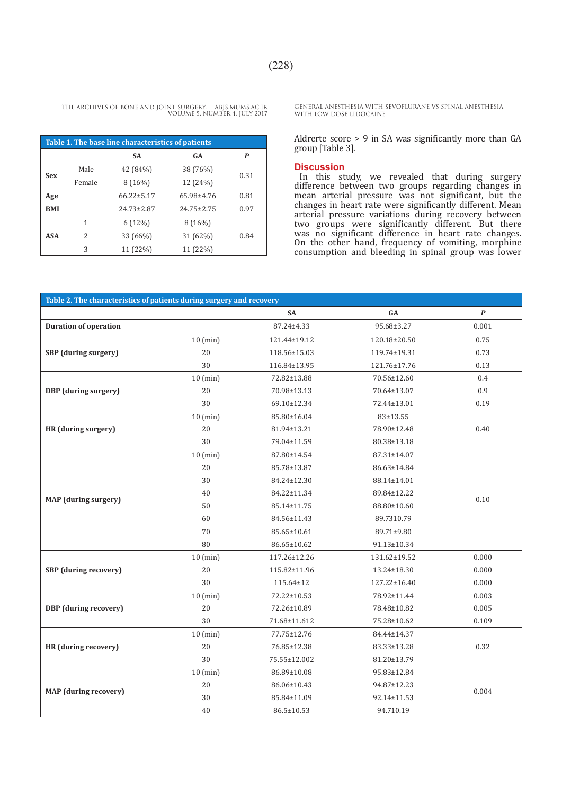| Table 1. The base line characteristics of patients |        |                  |                  |      |  |  |  |
|----------------------------------------------------|--------|------------------|------------------|------|--|--|--|
|                                                    |        | <b>SA</b>        | <b>GA</b>        | P    |  |  |  |
| <b>Sex</b>                                         | Male   | 42 (84%)         | 38 (76%)         | 0.31 |  |  |  |
|                                                    | Female | $8(16\%)$        | 12 (24%)         |      |  |  |  |
| Age                                                |        | $66.22 \pm 5.17$ | 65.98±4.76       | 0.81 |  |  |  |
| <b>BMI</b>                                         |        | $24.73 \pm 2.87$ | $24.75 \pm 2.75$ | 0.97 |  |  |  |
| <b>ASA</b>                                         | 1      | $6(12\%)$        | 8(16%)           |      |  |  |  |
|                                                    | 2      | 33 (66%)         | 31 (62%)         | 0.84 |  |  |  |
|                                                    | 3      | 11 (22%)         | 11 (22%)         |      |  |  |  |

GENERAL ANESTHESIA WITH SEVOFLURANE VS SPINAL ANESTHESIA WITH LOW DOSE LIDOCAINE

Aldrerte score > 9 in SA was significantly more than GA group [Table 3].

#### **Discussion**

In this study, we revealed that during surgery difference between two groups regarding changes in mean arterial pressure was not significant, but the changes in heart rate were significantly different. Mean<br>arterial pressure variations during recovery between arterial pressure variations during recovery between two groups were significantly different. But there was no significant difference in heart rate changes. On the other hand, frequency of vomiting, morphine consumption and bleeding in spinal group was lower

| Table 2. The characteristics of patients during surgery and recovery |            |              |                  |                  |  |  |  |
|----------------------------------------------------------------------|------------|--------------|------------------|------------------|--|--|--|
|                                                                      |            | <b>SA</b>    | ${\bf G}{\bf A}$ | $\boldsymbol{P}$ |  |  |  |
| <b>Duration of operation</b>                                         |            | 87.24±4.33   | 95.68±3.27       | 0.001            |  |  |  |
|                                                                      | $10$ (min) | 121.44±19.12 | 120.18±20.50     | 0.75             |  |  |  |
| SBP (during surgery)                                                 | 20         | 118.56±15.03 | 119.74±19.31     | 0.73             |  |  |  |
|                                                                      | 30         | 116.84±13.95 | 121.76±17.76     | 0.13             |  |  |  |
|                                                                      | $10$ (min) | 72.82±13.88  | 70.56±12.60      | 0.4              |  |  |  |
| DBP (during surgery)                                                 | 20         | 70.98±13.13  | 70.64±13.07      | 0.9              |  |  |  |
|                                                                      | 30         | 69.10±12.34  | 72.44±13.01      | 0.19             |  |  |  |
|                                                                      | $10$ (min) | 85.80±16.04  | 83±13.55         | 0.40             |  |  |  |
| HR (during surgery)                                                  | 20         | 81.94±13.21  | 78.90±12.48      |                  |  |  |  |
|                                                                      | 30         | 79.04±11.59  | 80.38±13.18      |                  |  |  |  |
|                                                                      | $10$ (min) | 87.80±14.54  | 87.31±14.07      | 0.10             |  |  |  |
|                                                                      | 20         | 85.78±13.87  | 86.63±14.84      |                  |  |  |  |
|                                                                      | 30         | 84.24±12.30  | 88.14±14.01      |                  |  |  |  |
| <b>MAP</b> (during surgery)                                          | 40         | 84.22±11.34  | 89.84±12.22      |                  |  |  |  |
|                                                                      | 50         | 85.14±11.75  | 88.80±10.60      |                  |  |  |  |
|                                                                      | 60         | 84.56±11.43  | 89.7310.79       |                  |  |  |  |
|                                                                      | 70         | 85.65±10.61  | 89.71±9.80       |                  |  |  |  |
|                                                                      | 80         | 86.65±10.62  | 91.13±10.34      |                  |  |  |  |
|                                                                      | $10$ (min) | 117.26±12.26 | 131.62±19.52     | 0.000            |  |  |  |
| <b>SBP</b> (during recovery)                                         | 20         | 115.82±11.96 | 13.24±18.30      | 0.000            |  |  |  |
|                                                                      | 30         | 115.64±12    | 127.22±16.40     | 0.000            |  |  |  |
|                                                                      | $10$ (min) | 72.22±10.53  | 78.92±11.44      | 0.003            |  |  |  |
| DBP (during recovery)                                                | 20         | 72.26±10.89  | 78.48±10.82      | 0.005            |  |  |  |
|                                                                      | 30         | 71.68±11.612 | 75.28±10.62      | 0.109            |  |  |  |
|                                                                      | $10$ (min) | 77.75±12.76  | 84.44±14.37      | 0.32             |  |  |  |
| HR (during recovery)                                                 | 20         | 76.85±12.38  | 83.33±13.28      |                  |  |  |  |
|                                                                      | 30         | 75.55±12.002 | 81.20±13.79      |                  |  |  |  |
|                                                                      | $10$ (min) | 86.89±10.08  | 95.83±12.84      | 0.004            |  |  |  |
| <b>MAP</b> (during recovery)                                         | 20         | 86.06±10.43  | 94.87±12.23      |                  |  |  |  |
|                                                                      | 30         | 85.84±11.09  | 92.14±11.53      |                  |  |  |  |
|                                                                      | 40         | 86.5±10.53   | 94.710.19        |                  |  |  |  |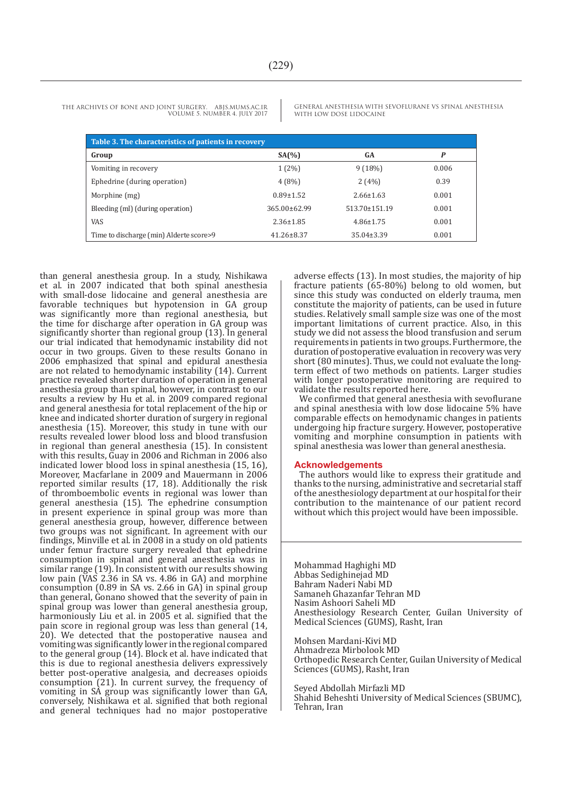GENERAL ANESTHESIA WITH SEVOFLURANE VS SPINAL ANESTHESIA WITH LOW DOSE LIDOCAINE

| Table 3. The characteristics of patients in recovery |                    |                  |       |  |  |  |
|------------------------------------------------------|--------------------|------------------|-------|--|--|--|
| Group                                                | SA(%)              | GA               | P     |  |  |  |
| Vomiting in recovery                                 | $1(2\%)$           | 9(18%)           | 0.006 |  |  |  |
| Ephedrine (during operation)                         | 4(8%)              | 2(4%)            | 0.39  |  |  |  |
| Morphine (mg)                                        | $0.89 \pm 1.52$    | $2.66 \pm 1.63$  | 0.001 |  |  |  |
| Bleeding (ml) (during operation)                     | $365.00 \pm 62.99$ | 513.70±151.19    | 0.001 |  |  |  |
| <b>VAS</b>                                           | $2.36 \pm 1.85$    | $4.86 \pm 1.75$  | 0.001 |  |  |  |
| Time to discharge (min) Alderte score>9              | $41.26 \pm 8.37$   | $35.04 \pm 3.39$ | 0.001 |  |  |  |

than general anesthesia group. In a study, Nishikawa et al. in 2007 indicated that both spinal anesthesia with small-dose lidocaine and general anesthesia are favorable techniques but hypotension in GA group was significantly more than regional anesthesia, but the time for discharge after operation in GA group was significantly shorter than regional group (13). In general our trial indicated that hemodynamic instability did not occur in two groups. Given to these results Gonano in 2006 emphasized that spinal and epidural anesthesia are not related to hemodynamic instability (14). Current practice revealed shorter duration of operation in general anesthesia group than spinal, however, in contrast to our results a review by Hu et al. in 2009 compared regional and general anesthesia for total replacement of the hip or knee and indicated shorter duration of surgery in regional anesthesia (15). Moreover, this study in tune with our results revealed lower blood loss and blood transfusion in regional than general anesthesia (15). In consistent with this results, Guay in 2006 and Richman in 2006 also indicated lower blood loss in spinal anesthesia (15, 16), Moreover, Macfarlane in 2009 and Mauermann in 2006 reported similar results (17, 18). Additionally the risk of thromboembolic events in regional was lower than general anesthesia (15). The ephedrine consumption in present experience in spinal group was more than general anesthesia group, however, difference between two groups was not significant. In agreement with our findings, Minville et al. in 2008 in a study on old patients under femur fracture surgery revealed that ephedrine consumption in spinal and general anesthesia was in similar range (19). In consistent with our results showing low pain (VAS 2.36 in SA vs. 4.86 in GA) and morphine consumption (0.89 in SA vs. 2.66 in GA) in spinal group than general, Gonano showed that the severity of pain in spinal group was lower than general anesthesia group, harmoniously Liu et al. in 2005 et al. signified that the pain score in regional group was less than general (14, 20). We detected that the postoperative nausea and vomiting was significantly lower in the regional compared to the general group (14). Block et al. have indicated that this is due to regional anesthesia delivers expressively better post-operative analgesia, and decreases opioids consumption (21). In current survey, the frequency of vomiting in SA group was significantly lower than GA, conversely, Nishikawa et al. signified that both regional and general techniques had no major postoperative

adverse effects (13). In most studies, the majority of hip fracture patients (65-80%) belong to old women, but since this study was conducted on elderly trauma, men constitute the majority of patients, can be used in future studies. Relatively small sample size was one of the most important limitations of current practice. Also, in this study we did not assess the blood transfusion and serum requirements in patients in two groups. Furthermore, the duration of postoperative evaluation in recovery was very short (80 minutes). Thus, we could not evaluate the longterm effect of two methods on patients. Larger studies with longer postoperative monitoring are required to validate the results reported here.

We confirmed that general anesthesia with sevoflurane and spinal anesthesia with low dose lidocaine 5% have comparable effects on hemodynamic changes in patients undergoing hip fracture surgery. However, postoperative vomiting and morphine consumption in patients with spinal anesthesia was lower than general anesthesia.

#### **Acknowledgements**

The authors would like to express their gratitude and thanks to the nursing, administrative and secretarial staff of the anesthesiology department at our hospital for their contribution to the maintenance of our patient record without which this project would have been impossible.

Mohammad Haghighi MD Abbas Sedighinejad MD Bahram Naderi Nabi MD Samaneh Ghazanfar Tehran MD Nasim Ashoori Saheli MD Anesthesiology Research Center, Guilan University of Medical Sciences (GUMS), Rasht, Iran

Mohsen Mardani-Kivi MD Ahmadreza Mirbolook MD Orthopedic Research Center, Guilan University of Medical Sciences (GUMS), Rasht, Iran

Seyed Abdollah Mirfazli MD Shahid Beheshti University of Medical Sciences (SBUMC), Tehran, Iran